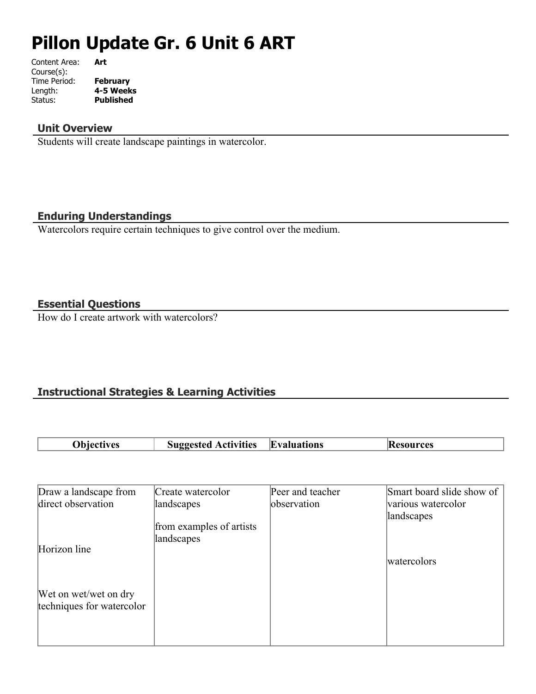# **Pillon Update Gr. 6 Unit 6 ART**

| Content Area: | Art              |
|---------------|------------------|
| Course(s):    |                  |
| Time Period:  | <b>February</b>  |
| Length:       | 4-5 Weeks        |
| Status:       | <b>Published</b> |
|               |                  |

# **Unit Overview**

Students will create landscape paintings in watercolor.

# **Enduring Understandings**

Watercolors require certain techniques to give control over the medium.

# **Essential Questions**

How do I create artwork with watercolors?

# **Instructional Strategies & Learning Activities**

| <b>Suggested Activities</b><br><b>Obiectives</b> | <b>Evaluations</b> | <b>Resources</b> |
|--------------------------------------------------|--------------------|------------------|
|--------------------------------------------------|--------------------|------------------|

| Draw a landscape from     | Create watercolor                      | Peer and teacher | Smart board slide show of |
|---------------------------|----------------------------------------|------------------|---------------------------|
| direct observation        | landscapes                             | observation      | various watercolor        |
|                           | from examples of artists<br>landscapes |                  | landscapes                |
| Horizon line              |                                        |                  |                           |
|                           |                                        |                  | watercolors               |
|                           |                                        |                  |                           |
| Wet on wet/wet on dry     |                                        |                  |                           |
| techniques for watercolor |                                        |                  |                           |
|                           |                                        |                  |                           |
|                           |                                        |                  |                           |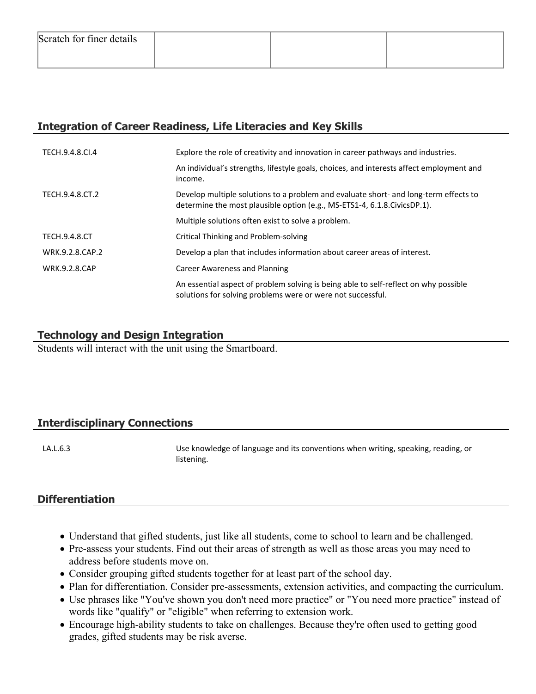# **Integration of Career Readiness, Life Literacies and Key Skills**

| TECH.9.4.8.CI.4      | Explore the role of creativity and innovation in career pathways and industries.                                                                                   |
|----------------------|--------------------------------------------------------------------------------------------------------------------------------------------------------------------|
|                      | An individual's strengths, lifestyle goals, choices, and interests affect employment and<br>income.                                                                |
| TECH.9.4.8.CT.2      | Develop multiple solutions to a problem and evaluate short- and long-term effects to<br>determine the most plausible option (e.g., MS-ETS1-4, 6.1.8. Civics DP.1). |
|                      | Multiple solutions often exist to solve a problem.                                                                                                                 |
| <b>TECH.9.4.8.CT</b> | Critical Thinking and Problem-solving                                                                                                                              |
| WRK.9.2.8.CAP.2      | Develop a plan that includes information about career areas of interest.                                                                                           |
| <b>WRK.9.2.8.CAP</b> | Career Awareness and Planning                                                                                                                                      |
|                      | An essential aspect of problem solving is being able to self-reflect on why possible<br>solutions for solving problems were or were not successful.                |

# **Technology and Design Integration**

Students will interact with the unit using the Smartboard.

# **Interdisciplinary Connections**

LA.L.6.3 **LA.L.6.3** Use knowledge of language and its conventions when writing, speaking, reading, or listening.

# **Differentiation**

- Understand that gifted students, just like all students, come to school to learn and be challenged.
- Pre-assess your students. Find out their areas of strength as well as those areas you may need to address before students move on.
- Consider grouping gifted students together for at least part of the school day.
- Plan for differentiation. Consider pre-assessments, extension activities, and compacting the curriculum.
- Use phrases like "You've shown you don't need more practice" or "You need more practice" instead of words like "qualify" or "eligible" when referring to extension work.
- Encourage high-ability students to take on challenges. Because they're often used to getting good grades, gifted students may be risk averse.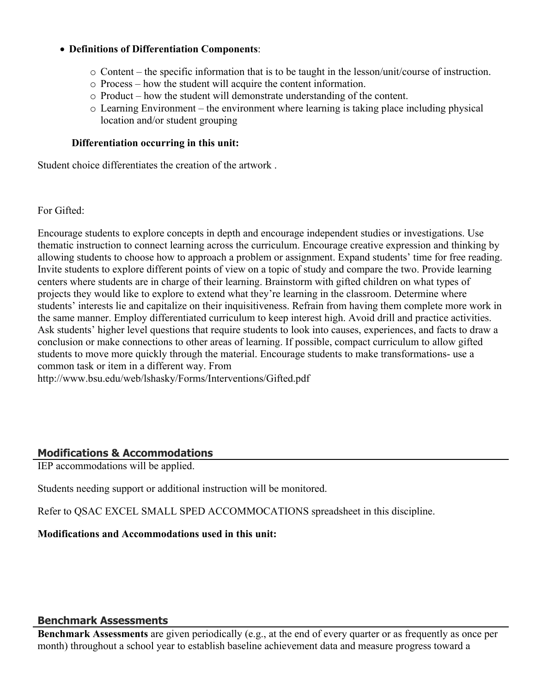## **Definitions of Differentiation Components**:

- o Content the specific information that is to be taught in the lesson/unit/course of instruction.
- o Process how the student will acquire the content information.
- o Product how the student will demonstrate understanding of the content.
- o Learning Environment the environment where learning is taking place including physical location and/or student grouping

#### **Differentiation occurring in this unit:**

Student choice differentiates the creation of the artwork .

For Gifted:

Encourage students to explore concepts in depth and encourage independent studies or investigations. Use thematic instruction to connect learning across the curriculum. Encourage creative expression and thinking by allowing students to choose how to approach a problem or assignment. Expand students' time for free reading. Invite students to explore different points of view on a topic of study and compare the two. Provide learning centers where students are in charge of their learning. Brainstorm with gifted children on what types of projects they would like to explore to extend what they're learning in the classroom. Determine where students' interests lie and capitalize on their inquisitiveness. Refrain from having them complete more work in the same manner. Employ differentiated curriculum to keep interest high. Avoid drill and practice activities. Ask students' higher level questions that require students to look into causes, experiences, and facts to draw a conclusion or make connections to other areas of learning. If possible, compact curriculum to allow gifted students to move more quickly through the material. Encourage students to make transformations- use a common task or item in a different way. From http://www.bsu.edu/web/lshasky/Forms/Interventions/Gifted.pdf

## **Modifications & Accommodations**

IEP accommodations will be applied.

Students needing support or additional instruction will be monitored.

Refer to QSAC EXCEL SMALL SPED ACCOMMOCATIONS spreadsheet in this discipline.

**Modifications and Accommodations used in this unit:**

#### **Benchmark Assessments**

**Benchmark Assessments** are given periodically (e.g., at the end of every quarter or as frequently as once per month) throughout a school year to establish baseline achievement data and measure progress toward a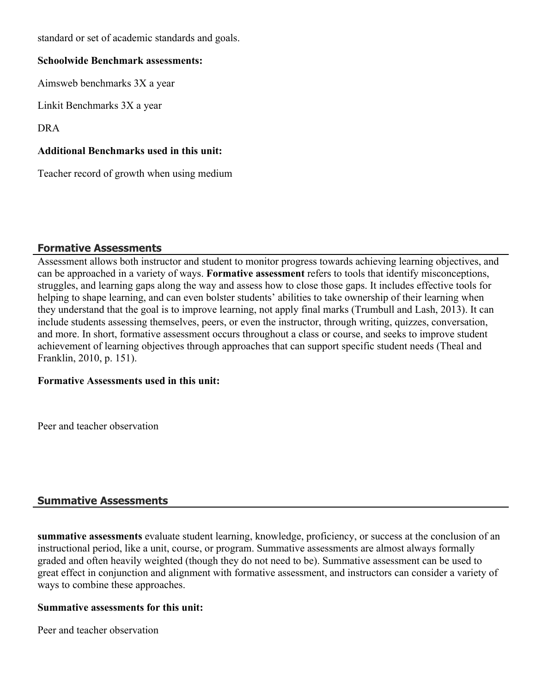standard or set of academic standards and goals.

## **Schoolwide Benchmark assessments:**

Aimsweb benchmarks 3X a year

Linkit Benchmarks 3X a year

DRA

# **Additional Benchmarks used in this unit:**

Teacher record of growth when using medium

## **Formative Assessments**

Assessment allows both instructor and student to monitor progress towards achieving learning objectives, and can be approached in a variety of ways. **Formative assessment** refers to tools that identify misconceptions, struggles, and learning gaps along the way and assess how to close those gaps. It includes effective tools for helping to shape learning, and can even bolster students' abilities to take ownership of their learning when they understand that the goal is to improve learning, not apply final marks (Trumbull and Lash, 2013). It can include students assessing themselves, peers, or even the instructor, through writing, quizzes, conversation, and more. In short, formative assessment occurs throughout a class or course, and seeks to improve student achievement of learning objectives through approaches that can support specific student needs (Theal and Franklin, 2010, p. 151).

## **Formative Assessments used in this unit:**

Peer and teacher observation

## **Summative Assessments**

**summative assessments** evaluate student learning, knowledge, proficiency, or success at the conclusion of an instructional period, like a unit, course, or program. Summative assessments are almost always formally graded and often heavily weighted (though they do not need to be). Summative assessment can be used to great effect in conjunction and alignment with formative assessment, and instructors can consider a variety of ways to combine these approaches.

# **Summative assessments for this unit:**

Peer and teacher observation